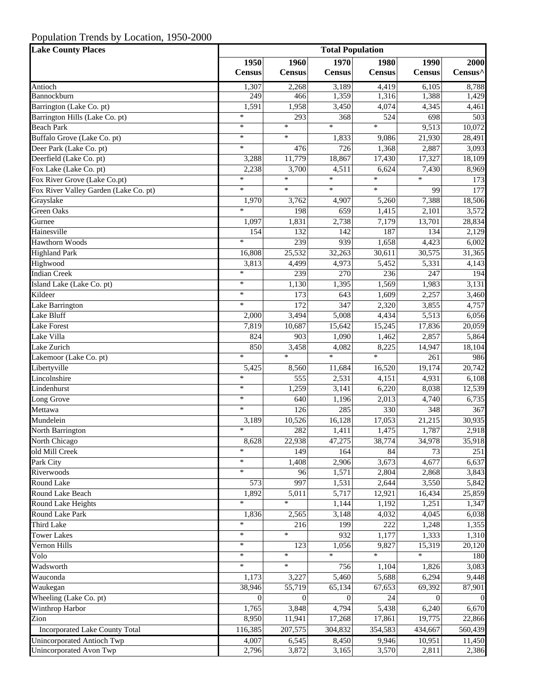## Population Trends by Location, 1950-2000

| <b>Lake County Places</b>             | <b>Total Population</b> |                       |                       |                       |                       |                  |
|---------------------------------------|-------------------------|-----------------------|-----------------------|-----------------------|-----------------------|------------------|
|                                       | 1950<br><b>Census</b>   | 1960<br><b>Census</b> | 1970<br><b>Census</b> | 1980<br><b>Census</b> | 1990<br><b>Census</b> | 2000<br>Census^  |
| Antioch                               | 1,307                   | 2,268                 | 3,189                 | 4,419                 | 6,105                 | 8,788            |
| Bannockburn                           | 249                     | 466                   | 1,359                 | 1,316                 | 1,388                 | 1,429            |
| Barrington (Lake Co. pt)              | 1,591                   | 1,958                 | 3,450                 | 4,074                 | 4,345                 | 4,461            |
| Barrington Hills (Lake Co. pt)        | $\ast$                  | 293                   | 368                   | 524                   | 698                   | 503              |
| <b>Beach Park</b>                     | $\ast$                  | $\ast$                | $\ast$                | $\ast$                | 9,513                 | 10,072           |
| Buffalo Grove (Lake Co. pt)           | $\ast$                  | $\ast$                | 1,833                 | 9,086                 | 21,930                | 28,491           |
| Deer Park (Lake Co. pt)               | $\ast$                  | 476                   | 726                   | 1,368                 | 2,887                 | 3,093            |
| Deerfield (Lake Co. pt)               | 3,288                   | 11,779                | 18,867                | 17,430                | 17,327                | 18,109           |
| Fox Lake (Lake Co. pt)                | 2,238                   | 3,700                 | 4,511                 | 6,624                 | 7,430                 | 8,969            |
| Fox River Grove (Lake Co.pt)          | $\ast$                  | $\ast$                | $\ast$                | $\ast$                | $\ast$                | 173              |
| Fox River Valley Garden (Lake Co. pt) | $\ast$                  | $\ast$                | $\ast$                | $\ast$                | 99                    | 177              |
| Grayslake                             | 1,970                   | 3,762                 | 4,907                 | 5,260                 | 7,388                 | 18,506           |
| Green Oaks                            | $\ast$                  | 198                   | 659                   | 1,415                 | 2,101                 | 3,572            |
| Gurnee                                | 1,097                   | 1,831                 | 2,738                 | 7,179                 | 13,701                | 28,834           |
| Hainesville                           | 154                     | 132                   | 142                   | 187                   | 134                   | 2,129            |
| Hawthorn Woods                        | $\ast$                  | 239                   | 939                   | 1,658                 | 4,423                 | 6,002            |
| <b>Highland Park</b>                  | 16,808                  | 25,532                | 32,263                | 30,611                | 30,575                | 31,365           |
| Highwood                              | 3,813                   | 4,499                 | 4,973                 | 5,452                 | 5,331                 | 4,143            |
| <b>Indian Creek</b>                   | $\ast$                  | 239                   | 270                   | 236                   | $\overline{247}$      | 194              |
| Island Lake (Lake Co. pt)             | $\ast$                  | 1,130                 | 1,395                 | 1,569                 | 1,983                 | 3,131            |
| Kildeer                               | $\ast$                  | 173                   | 643                   | 1,609                 | 2,257                 | 3,460            |
| Lake Barrington                       | $\ast$                  | $\overline{172}$      | 347                   | 2,320                 | 3,855                 | 4,757            |
| Lake Bluff                            | 2,000                   | 3,494                 | 5,008                 | 4,434                 | 5,513                 | 6,056            |
| <b>Lake Forest</b>                    | 7,819                   | 10,687                | 15,642                | 15,245                | 17,836                | 20,059           |
| Lake Villa                            | 824                     | 903                   | 1,090                 | 1,462                 | 2,857                 | 5,864            |
| Lake Zurich                           | 850                     | 3,458                 | 4,082                 | 8,225                 | 14,947                | 18,104           |
| Lakemoor (Lake Co. pt)                | $\ast$                  | $*$                   | $\ast$                | $*$                   | 261                   | 986              |
| Libertyville                          | 5,425                   | 8,560                 | 11,684                | 16,520                | 19,174                | 20,742           |
| Lincolnshire                          | $\ast$                  | 555                   | 2,531                 | 4,151                 | 4,931                 | 6,108            |
| Lindenhurst                           | $\ast$                  | 1,259                 | 3,141                 | 6,220                 | 8,038                 | 12,539           |
| Long Grove                            | $\ast$                  | 640                   | 1,196                 | 2,013                 | 4,740                 | 6,735            |
| Mettawa                               | $\ast$                  | $\overline{126}$      | 285                   | 330                   | 348                   | 367              |
| Mundelein                             | 3,189                   | 10,526                | 16,128                | 17,053                | 21,215                | 30,935           |
| North Barrington                      | $\ast$                  | 282                   | 1,411                 | 1,475                 | 1,787                 | 2,918            |
| North Chicago                         | 8,628                   | 22,938                | 47,275                | 38,774                | 34,978                | 35,918           |
| old Mill Creek                        | $\ast$                  | 149                   | 164                   | 84                    | 73                    | $\overline{251}$ |
| Park City                             | $\ast$                  | 1,408                 | 2,906                 | 3,673                 | 4,677                 | 6,637            |
| Riverwoods                            | $\ast$                  | 96                    | 1,571                 | 2,804                 | 2,868                 | 3,843            |
| Round Lake                            | 573                     | 997                   | 1,531                 | 2,644                 | 3,550                 | 5,842            |
| Round Lake Beach                      | 1,892                   | 5,011                 | 5,717                 | 12,921                | 16,434                | 25,859           |
| Round Lake Heights                    | $\ast$                  | $\ast$                | 1,144                 | 1,192                 | 1,251                 | 1,347            |
| Round Lake Park                       | 1,836                   | 2,565                 | 3,148                 | 4,032                 | 4,045                 | 6,038            |
| Third Lake                            | $\ast$                  | 216                   | 199                   | 222                   | 1,248                 | 1,355            |
| <b>Tower Lakes</b>                    | $\ast$                  | $\ast$                | 932                   | 1,177                 | 1,333                 | 1,310            |
| Vernon Hills                          | $\ast$                  | 123                   | 1,056                 | 9,827                 | 15,319                | 20,120           |
| Volo                                  | $\ast$                  | $\ast$                | $\ast$                | $\ast$                | $\ast$                | 180              |
| Wadsworth                             | $\ast$                  | $\ast$                | 756                   | 1,104                 | 1,826                 | 3,083            |
| Wauconda                              | 1,173                   | 3,227                 | 5,460                 | 5,688                 | 6,294                 | 9,448            |
| Waukegan                              | 38,946                  | 55,719                | 65,134                | 67,653                | 69,392                | 87,901           |
| Wheeling (Lake Co. pt)                | $\Omega$                | $\Omega$              | $\Omega$              | 24                    | $\Omega$              | $\Omega$         |
| Winthrop Harbor                       | 1,765                   | 3,848                 | 4,794                 | 5,438                 | 6,240                 | 6,670            |
| Zion                                  | 8,950                   | 11,941                | 17,268                | 17,861                | 19,775                | 22,866           |
| Incorporated Lake County Total        | 116,385                 | 207,575               | 304,832               | 354,583               | 434,667               | 560,439          |
| <b>Unincorporated Antioch Twp</b>     | 4,007                   | 6,545                 | 8,450                 | 9,946                 | 10,951                | 11,450           |
| Unincorporated Avon Twp               | 2,796                   | 3,872                 | 3,165                 | 3,570                 | 2,811                 | 2,386            |